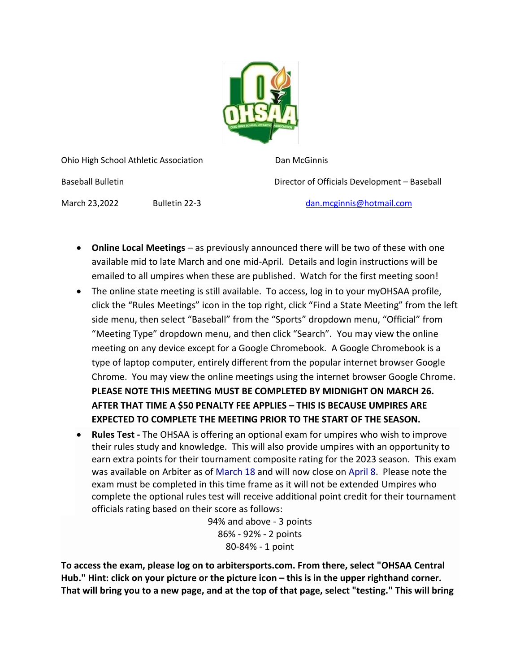

Ohio High School Athletic Association Dan McGinnis

Baseball Bulletin Director of Officials Development – Baseball

March 23,2022 Bulletin 22-3 [dan.mcginnis@hotmail.com](mailto:dan.mcginnis@hotmail.com)

- **Online Local Meetings** as previously announced there will be two of these with one available mid to late March and one mid-April. Details and login instructions will be emailed to all umpires when these are published. Watch for the first meeting soon!
- The online state meeting is still available. To access, log in to your myOHSAA profile, click the "Rules Meetings" icon in the top right, click "Find a State Meeting" from the left side menu, then select "Baseball" from the "Sports" dropdown menu, "Official" from "Meeting Type" dropdown menu, and then click "Search". You may view the online meeting on any device except for a Google Chromebook. A Google Chromebook is a type of laptop computer, entirely different from the popular internet browser Google Chrome. You may view the online meetings using the internet browser Google Chrome. **PLEASE NOTE THIS MEETING MUST BE COMPLETED BY MIDNIGHT ON MARCH 26. AFTER THAT TIME A \$50 PENALTY FEE APPLIES – THIS IS BECAUSE UMPIRES ARE EXPECTED TO COMPLETE THE MEETING PRIOR TO THE START OF THE SEASON.**
- **Rules Test -** The OHSAA is offering an optional exam for umpires who wish to improve their rules study and knowledge. This will also provide umpires with an opportunity to earn extra points for their tournament composite rating for the 2023 season. This exam was available on Arbiter as of March 18 and will now close on April 8. Please note the exam must be completed in this time frame as it will not be extended Umpires who complete the optional rules test will receive additional point credit for their tournament officials rating based on their score as follows:

94% and above - 3 points 86% - 92% - 2 points 80-84% - 1 point

**To access the exam, please log on to arbitersports.com. From there, select "OHSAA Central**  Hub." Hint: click on your picture or the picture icon – this is in the upper righthand corner. **That will bring you to a new page, and at the top of that page, select "testing." This will bring**